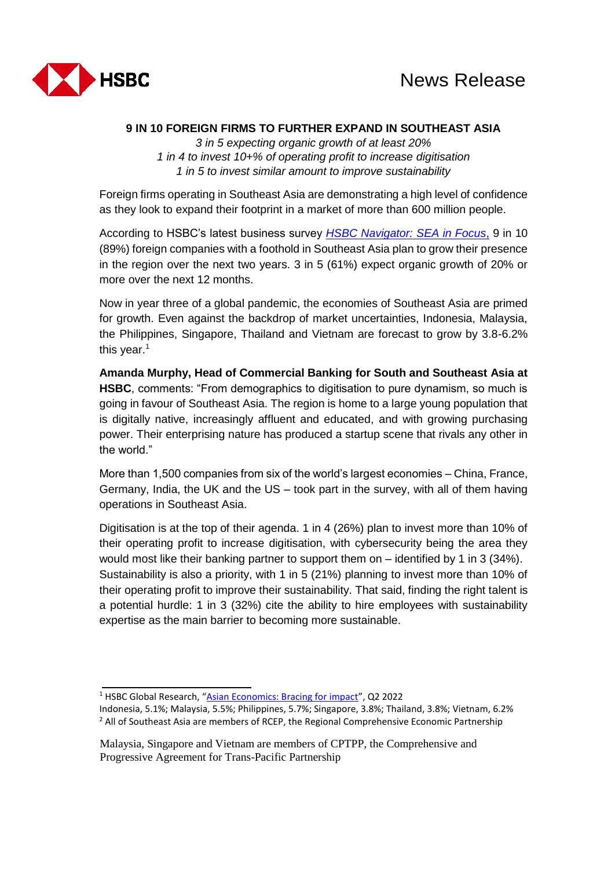

## **9 IN 10 FOREIGN FIRMS TO FURTHER EXPAND IN SOUTHEAST ASIA**

*3 in 5 expecting organic growth of at least 20% 1 in 4 to invest 10+% of operating profit to increase digitisation 1 in 5 to invest similar amount to improve sustainability*

Foreign firms operating in Southeast Asia are demonstrating a high level of confidence as they look to expand their footprint in a market of more than 600 million people.

According to HSBC's latest business survey *[HSBC Navigator: SEA in Focus](https://www.business.hsbc.com/en-gb/campaigns/hsbc-navigator-sea-in-focus)*, 9 in 10 (89%) foreign companies with a foothold in Southeast Asia plan to grow their presence in the region over the next two years. 3 in 5 (61%) expect organic growth of 20% or more over the next 12 months.

Now in year three of a global pandemic, the economies of Southeast Asia are primed for growth. Even against the backdrop of market uncertainties, Indonesia, Malaysia, the Philippines, Singapore, Thailand and Vietnam are forecast to grow by 3.8-6.2% this year. $1$ 

**Amanda Murphy, Head of Commercial Banking for South and Southeast Asia at HSBC**, comments: "From demographics to digitisation to pure dynamism, so much is going in favour of Southeast Asia. The region is home to a large young population that is digitally native, increasingly affluent and educated, and with growing purchasing power. Their enterprising nature has produced a startup scene that rivals any other in the world."

More than 1,500 companies from six of the world's largest economies – China, France, Germany, India, the UK and the US – took part in the survey, with all of them having operations in Southeast Asia.

Digitisation is at the top of their agenda. 1 in 4 (26%) plan to invest more than 10% of their operating profit to increase digitisation, with cybersecurity being the area they would most like their banking partner to support them on – identified by 1 in 3 (34%). Sustainability is also a priority, with 1 in 5 (21%) planning to invest more than 10% of their operating profit to improve their sustainability. That said, finding the right talent is a potential hurdle: 1 in 3 (32%) cite the ability to hire employees with sustainability expertise as the main barrier to becoming more sustainable.

<sup>1</sup> HSBC Global Research, "[Asian Economics: Bracing for impact](https://www.research.hsbc.com/R/10/dt9j2F2ySZdH)", Q2 2022

Indonesia, 5.1%; Malaysia, 5.5%; Philippines, 5.7%; Singapore, 3.8%; Thailand, 3.8%; Vietnam, 6.2% <sup>2</sup> All of Southeast Asia are members of RCEP, the Regional Comprehensive Economic Partnership

Malaysia, Singapore and Vietnam are members of CPTPP, the Comprehensive and Progressive Agreement for Trans-Pacific Partnership